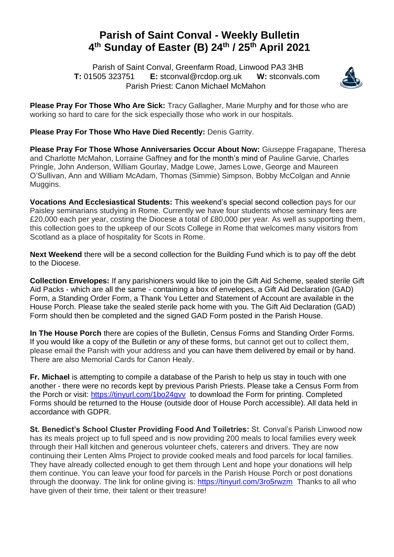## **Parish of Saint Conval - Weekly Bulletin 4 th Sunday of Easter (B) 24th / 25th April 2021**

 Parish of Saint Conval, Greenfarm Road, Linwood PA3 3HB **T:** 01505 323751 **E:** [stconval@rcdop.org.uk](mailto:stconval@rcdop.org.uk) **W:** stconvals.com Parish Priest: Canon Michael McMahon



**Please Pray For Those Who Are Sick:** Tracy Gallagher, Marie Murphy and for those who are working so hard to care for the sick especially those who work in our hospitals.

**Please Pray For Those Who Have Died Recently: Denis Garrity.** 

**Please Pray For Those Whose Anniversaries Occur About Now:** Giuseppe Fragapane, Theresa and Charlotte McMahon, Lorraine Gaffney and for the month's mind of Pauline Garvie, Charles Pringle, John Anderson, William Gourlay, Madge Lowe, James Lowe, George and Maureen O'Sullivan, Ann and William McAdam, Thomas (Simmie) Simpson, Bobby McColgan and Annie Muggins.

**Vocations And Ecclesiastical Students:** This weekend's special second collection pays for our Paisley seminarians studying in Rome. Currently we have four students whose seminary fees are £20,000 each per year, costing the Diocese a total of £80,000 per year. As well as supporting them, this collection goes to the upkeep of our Scots College in Rome that welcomes many visitors from Scotland as a place of hospitality for Scots in Rome.

**Next Weekend** there will be a second collection for the Building Fund which is to pay off the debt to the Diocese.

**Collection Envelopes:** If any parishioners would like to join the Gift Aid Scheme, sealed sterile Gift Aid Packs - which are all the same - containing a box of envelopes, a Gift Aid Declaration (GAD) Form, a Standing Order Form, a Thank You Letter and Statement of Account are available in the House Porch. Please take the sealed sterile pack home with you. The Gift Aid Declaration (GAD) Form should then be completed and the signed GAD Form posted in the Parish House.

**In The House Porch** there are copies of the Bulletin, Census Forms and Standing Order Forms. If you would like a copy of the Bulletin or any of these forms, but cannot get out to collect them, please email the Parish with your address and you can have them delivered by email or by hand. There are also Memorial Cards for Canon Healy.

**Fr. Michael** is attempting to compile a database of the Parish to help us stay in touch with one another - there were no records kept by previous Parish Priests. Please take a Census Form from the Porch or visit:<https://tinyurl.com/1bo24gvv> to download the Form for printing. Completed Forms should be returned to the House (outside door of House Porch accessible). All data held in accordance with GDPR.

**St. Benedict's School Cluster Providing Food And Toiletries:** St. Conval's Parish Linwood now has its meals project up to full speed and is now providing 200 meals to local families every week through their Hall kitchen and generous volunteer chefs, caterers and drivers. They are now continuing their Lenten Alms Project to provide cooked meals and food parcels for local families. They have already collected enough to get them through Lent and hope your donations will help them continue. You can leave your food for parcels in the Parish House Porch or post donations through the doorway. The link for online giving is:<https://tinyurl.com/3ro5rwzm>Thanks to all who have given of their time, their talent or their treasure!